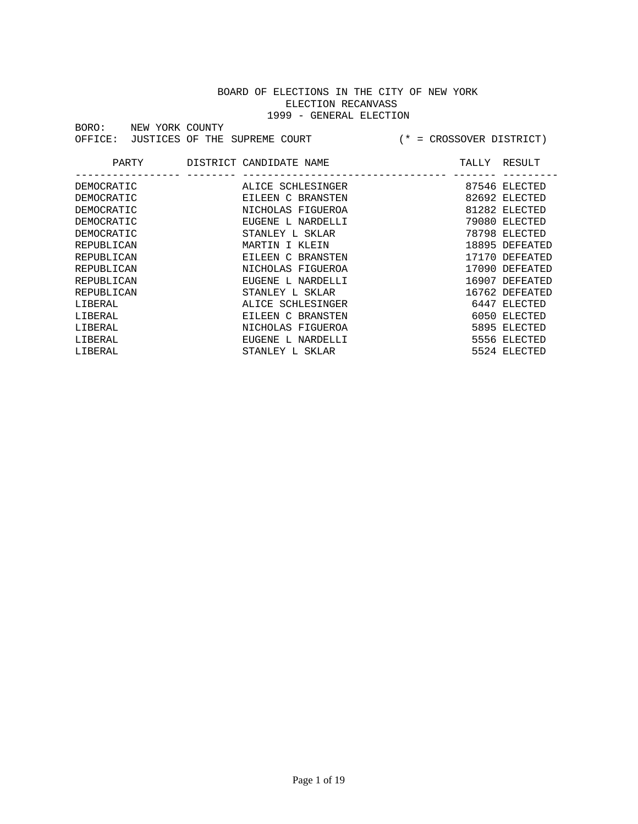| BORO:                                               | NEW YORK COUNTY |  |                   |                              |                |
|-----------------------------------------------------|-----------------|--|-------------------|------------------------------|----------------|
| OFFICE:                                             | JUSTICES OF THE |  | SUPREME COURT     | = CROSSOVER DISTRICT)<br>$+$ |                |
|                                                     |                 |  |                   |                              |                |
| PARTY<br>DISTRICT CANDIDATE NAME<br>RESULT<br>TALLY |                 |  |                   |                              |                |
|                                                     |                 |  |                   |                              |                |
| DEMOCRATIC                                          |                 |  | ALICE SCHLESINGER |                              | 87546 ELECTED  |
| DEMOCRATIC                                          |                 |  | EILEEN C BRANSTEN |                              | 82692 ELECTED  |
| DEMOCRATIC                                          |                 |  | NICHOLAS FIGUEROA |                              | 81282 ELECTED  |
| DEMOCRATIC                                          |                 |  | EUGENE L NARDELLI |                              | 79080 ELECTED  |
| DEMOCRATIC                                          |                 |  | STANLEY L SKLAR   |                              | 78798 ELECTED  |
| REPUBLICAN                                          |                 |  | MARTIN I KLEIN    |                              | 18895 DEFEATED |
| REPUBLICAN                                          |                 |  | EILEEN C BRANSTEN |                              | 17170 DEFEATED |
| REPUBLICAN                                          |                 |  | NICHOLAS FIGUEROA |                              | 17090 DEFEATED |
| REPUBLICAN                                          |                 |  | EUGENE L NARDELLI |                              | 16907 DEFEATED |
| REPUBLICAN                                          |                 |  | STANLEY L SKLAR   |                              | 16762 DEFEATED |
| LIBERAL                                             |                 |  | ALICE SCHLESINGER |                              | 6447 ELECTED   |
| LIBERAL                                             |                 |  | EILEEN C BRANSTEN |                              | 6050 ELECTED   |
| LIBERAL                                             |                 |  | NICHOLAS FIGUEROA |                              | 5895 ELECTED   |
| LIBERAL                                             |                 |  | EUGENE L NARDELLI |                              | 5556 ELECTED   |

LIBERAL STANLEY L SKLAR 5524 ELECTED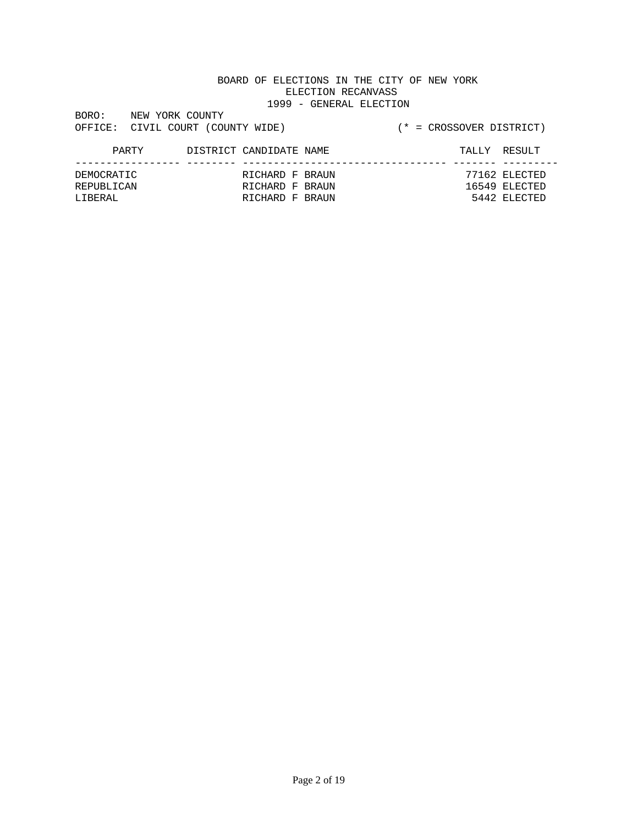| BORO:   | NEW YORK COUNTY |                           |  |
|---------|-----------------|---------------------------|--|
| OFFICE: |                 | CIVIL COURT (COUNTY WIDE) |  |

#### (\* = CROSSOVER DISTRICT)

#### PARTY DISTRICT CANDIDATE NAME TALLY RESULT ----------------- -------- --------------------------------- ------- --------- RICHARD F BRAUN REPUBLICAN RICHARD F BRAUN 16549 ELECTED LIBERAL RICHARD F BRAUN 5442 ELECTED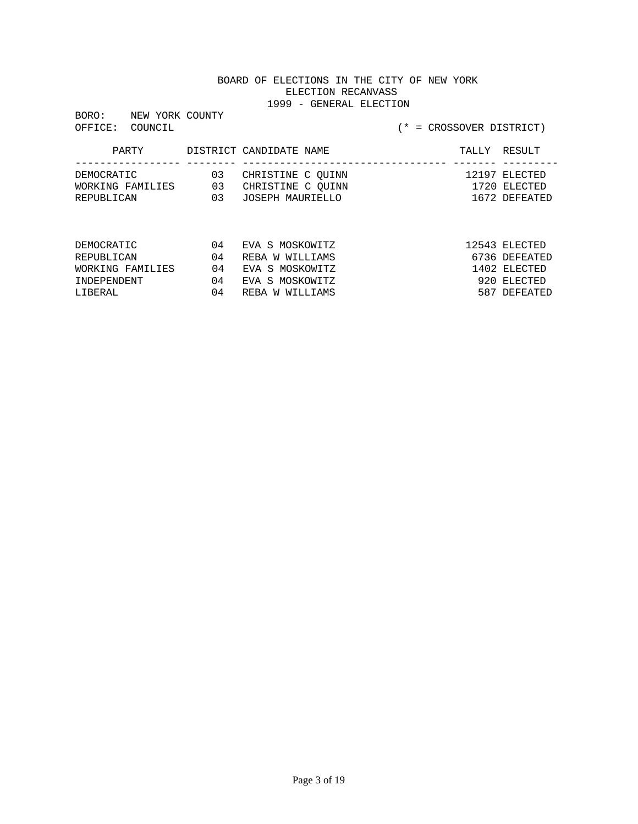BORO: NEW YORK COUNTY<br>OFFICE: COUNCIL

| PARTY                                        |                 | DISTRICT CANDIDATE NAME                                    |  | TALLY RESULT                                   |
|----------------------------------------------|-----------------|------------------------------------------------------------|--|------------------------------------------------|
| DEMOCRATIC<br>WORKING FAMILIES<br>REPUBLICAN | 03<br>03<br>n 3 | CHRISTINE C OUINN<br>CHRISTINE C OUINN<br>JOSEPH MAURIELLO |  | 12197 ELECTED<br>1720 ELECTED<br>1672 DEFEATED |

| DEMOCRATIC       | 04 | EVA S MOSKOWITZ | 12543 ELECTED |
|------------------|----|-----------------|---------------|
| REPUBLICAN       | 04 | REBA W WILLIAMS | 6736 DEFEATED |
| WORKING FAMILIES | 04 | EVA S MOSKOWITZ | 1402 FLECTED  |
| TNDEPENDENT      | 04 | EVA S MOSKOWITZ | 920 FLECTED   |
| T.TBERAL         | 04 | REBA W WILLIAMS | 587 DEFEATED  |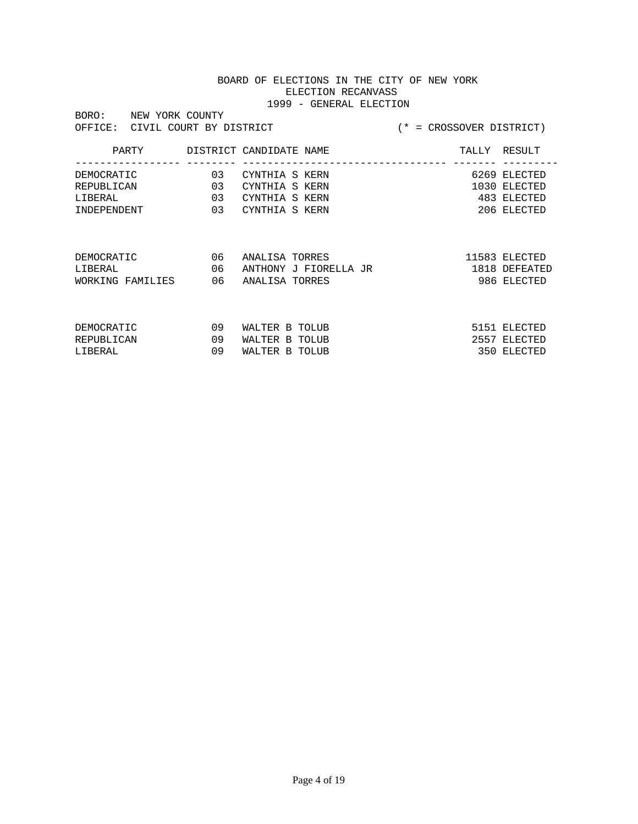| BORO:<br>NEW YORK COUNTY           |    |                         |                             |               |
|------------------------------------|----|-------------------------|-----------------------------|---------------|
| OFFICE:<br>CIVIL COURT BY DISTRICT |    |                         | $(* = CROSSOVER DISTERTCT)$ |               |
|                                    |    |                         |                             |               |
| PARTY                              |    | DISTRICT CANDIDATE NAME | TALLY                       | RESULT        |
|                                    |    |                         |                             |               |
| DEMOCRATIC                         | 03 | CYNTHIA S KERN          |                             | 6269 ELECTED  |
| REPUBLICAN                         | 03 | CYNTHIA S KERN          |                             | 1030 ELECTED  |
| LIBERAL                            | 03 | CYNTHIA S KERN          |                             | 483 ELECTED   |
| INDEPENDENT                        | 03 | CYNTHIA S KERN          |                             | 206 ELECTED   |
|                                    |    |                         |                             |               |
|                                    |    |                         |                             |               |
|                                    |    |                         |                             |               |
| DEMOCRATIC                         | 06 | ANALISA TORRES          |                             | 11583 ELECTED |
| LIBERAL                            | 06 | ANTHONY J FIORELLA JR   |                             | 1818 DEFEATED |
| WORKING FAMILIES                   | 06 | ANALISA TORRES          |                             | 986 ELECTED   |
|                                    |    |                         |                             |               |
|                                    |    |                         |                             |               |
|                                    |    |                         |                             |               |
| DEMOCRATIC                         | 09 | WALTER B TOLUB          |                             | 5151 ELECTED  |
| REPUBLICAN                         | 09 | WALTER B<br>TOLUB       |                             | 2557 ELECTED  |
| LIBERAL                            | 09 | WALTER B<br>TOLUB       |                             | 350 ELECTED   |
|                                    |    |                         |                             |               |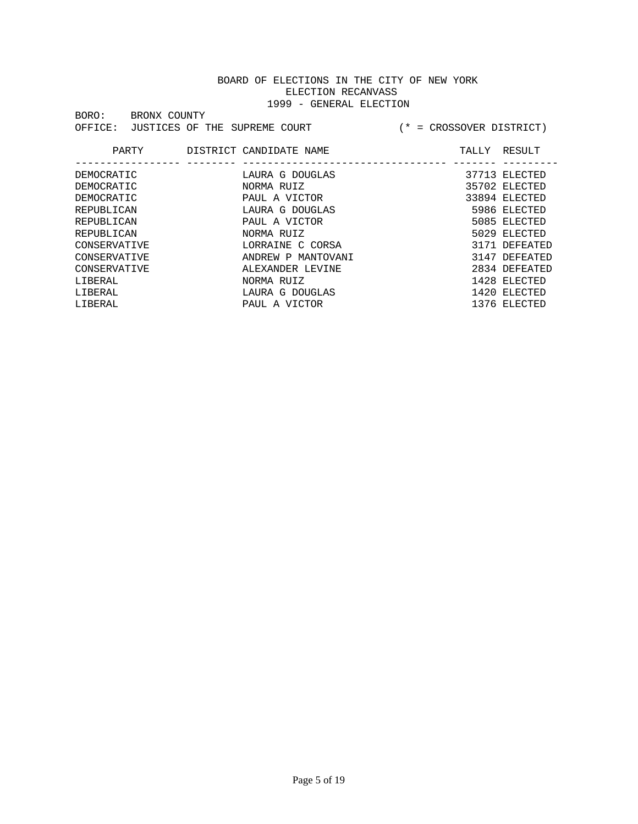|       |                                       |  | --- |
|-------|---------------------------------------|--|-----|
| BORO: | BRONX COUNTY                          |  |     |
|       | OFFICE: JUSTICES OF THE SUPREME COURT |  |     |

| PARTY        | DISTRICT CANDIDATE NAME | TALLY | RESULT        |
|--------------|-------------------------|-------|---------------|
| DEMOCRATIC   | LAURA G DOUGLAS         |       | 37713 ELECTED |
| DEMOCRATIC   | NORMA RUIZ              |       | 35702 ELECTED |
| DEMOCRATIC   | PAUL A VICTOR           |       | 33894 ELECTED |
| REPUBLICAN   | LAURA G DOUGLAS         |       | 5986 ELECTED  |
| REPUBLICAN   | PAUL A VICTOR           |       | 5085 ELECTED  |
| REPUBLICAN   | NORMA RUIZ              |       | 5029 ELECTED  |
| CONSERVATIVE | LORRAINE C CORSA        |       | 3171 DEFEATED |
| CONSERVATIVE | ANDREW P MANTOVANI      |       | 3147 DEFEATED |
| CONSERVATIVE | ALEXANDER LEVINE        |       | 2834 DEFEATED |
| LIBERAL      | NORMA RUIZ              |       | 1428 ELECTED  |
| LIBERAL      | LAURA G DOUGLAS         |       | 1420 ELECTED  |
| LIBERAL      | PAUL A VICTOR           |       | 1376 ELECTED  |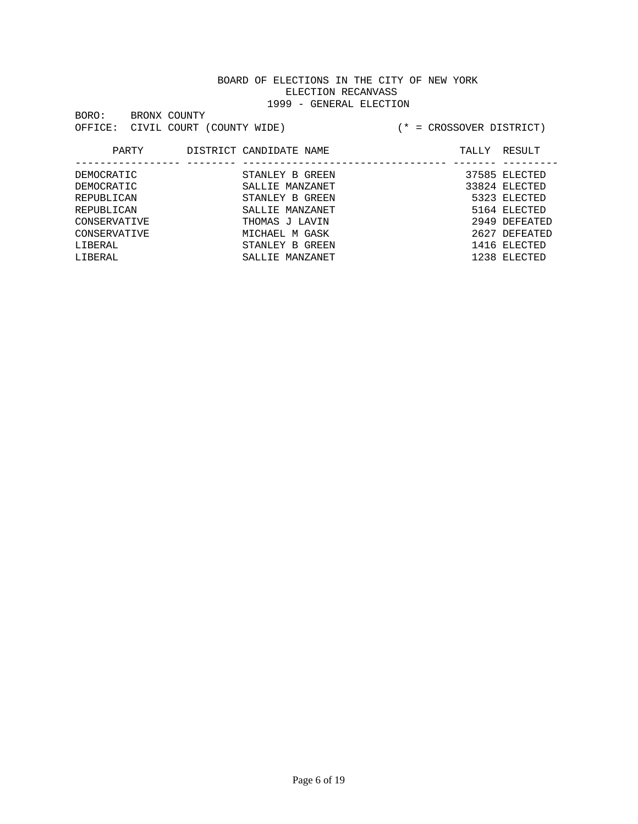|                                   |              | -- |
|-----------------------------------|--------------|----|
| BORO:                             | BRONX COUNTY |    |
| OFFICE: CIVIL COURT (COUNTY WIDE) |              |    |

| PARTY        | DISTRICT CANDIDATE NAME | TALLY | RESULT        |
|--------------|-------------------------|-------|---------------|
|              |                         |       |               |
| DEMOCRATIC   | STANLEY B GREEN         |       | 37585 ELECTED |
| DEMOCRATIC   | SALLIE MANZANET         |       | 33824 ELECTED |
| REPUBLICAN   | STANLEY B GREEN         |       | 5323 ELECTED  |
| REPUBLICAN   | SALLIE MANZANET         |       | 5164 ELECTED  |
| CONSERVATIVE | THOMAS J LAVIN          |       | 2949 DEFEATED |
| CONSERVATIVE | MICHAEL M GASK          |       | 2627 DEFEATED |
| LIBERAL      | STANLEY B GREEN         |       | 1416 ELECTED  |
| LIBERAL      | SALLIE MANZANET         |       | 1238 ELECTED  |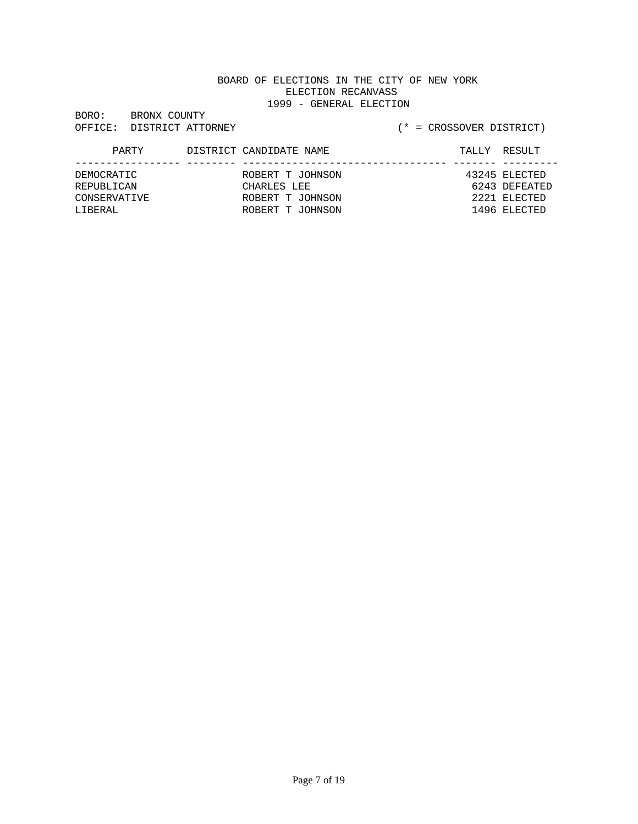| BORO:   | BRONX COUNTY |                   |
|---------|--------------|-------------------|
| OFFICE: |              | DISTRICT ATTORNEY |

# (\* = CROSSOVER DISTRICT)

#### PARTY DISTRICT CANDIDATE NAME TALLY RESULT ----------------- -------- --------------------------------- ------- --------- ROBERT T JOHNSON REPUBLICAN CHARLES LEE 6243 DEFEATED CONSERVATIVE ROBERT T JOHNSON 2221 ELECTED LIBERAL ROBERT T JOHNSON 1496 ELECTED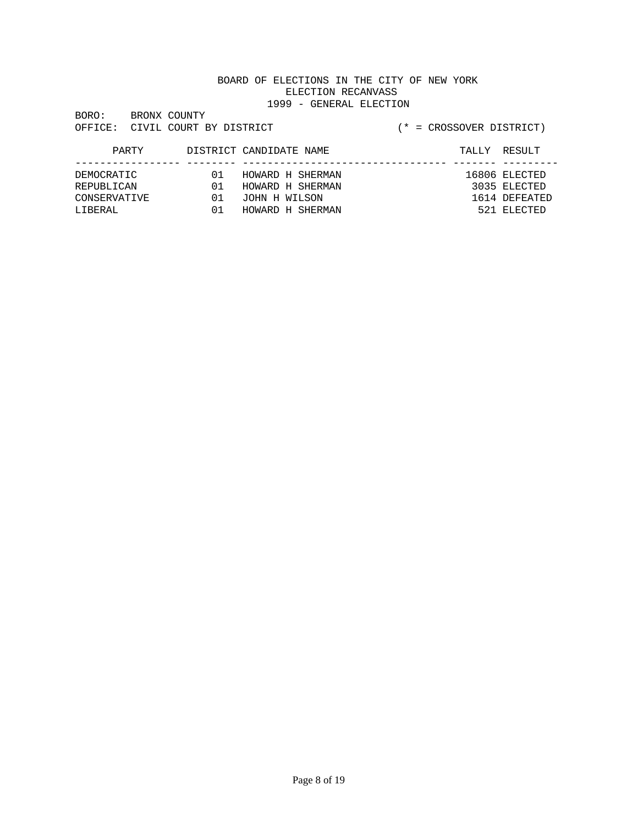| BORO:   | BRONX COUNTY |                         |
|---------|--------------|-------------------------|
| OFFICE: |              | CIVIL COURT BY DISTRICT |

| PARTY        |     | DISTRICT CANDIDATE NAME | TALLY RESULT  |
|--------------|-----|-------------------------|---------------|
| DEMOCRATIC   | 01  | HOWARD H SHERMAN        | 16806 ELECTED |
| REPUBLICAN   | O 1 | HOWARD H SHERMAN        | 3035 ELECTED  |
| CONSERVATIVE | 01  | JOHN H WILSON           | 1614 DEFEATED |
| LIBERAL      | 01  | HOWARD H SHERMAN        | 521 ELECTED   |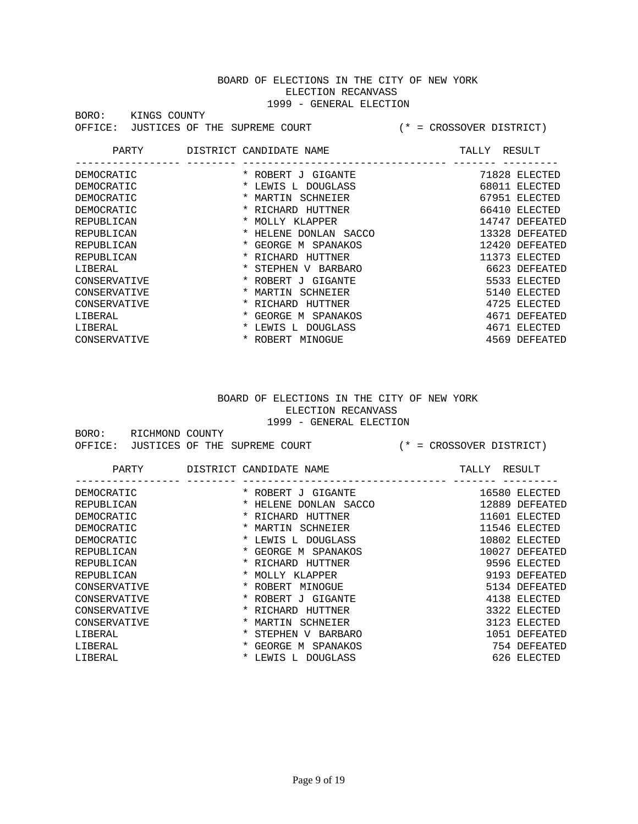| BORO:   | KINGS COUNTY                  |
|---------|-------------------------------|
| OFFICE: | JUSTICES OF THE SUPREME COURT |

#### (\* = CROSSOVER DISTRICT)

| PARTY        | DISTRICT CANDIDATE NAME                   | TALLY | RESULT         |
|--------------|-------------------------------------------|-------|----------------|
| DEMOCRATIC   | * ROBERT J<br>GIGANTE                     |       | 71828 ELECTED  |
| DEMOCRATIC   | <b>DOUGLASS</b><br>$\star$<br>LEWIS L     | 68011 | ELECTED        |
| DEMOCRATIC   | $\star$<br>MARTIN<br>SCHNEIER             | 67951 | ELECTED        |
| DEMOCRATIC   | RICHARD<br>HUTTNER<br>$\star$             | 66410 | ELECTED        |
| REPUBLICAN   | MOLLY KLAPPER<br>*                        | 14747 | DEFEATED       |
| REPUBLICAN   | *<br>HELENE<br>DONLAN<br>SACCO            |       | 13328 DEFEATED |
| REPUBLICAN   | * GEORGE M SPANAKOS                       |       | 12420 DEFEATED |
| REPUBLICAN   | * RICHARD<br>HUTTNER                      |       | 11373 ELECTED  |
| LIBERAL      | $\star$<br>STEPHEN<br><b>BARBARO</b><br>V |       | 6623 DEFEATED  |
| CONSERVATIVE | GTGANTE<br>* ROBERT J                     |       | 5533 ELECTED   |
| CONSERVATIVE | SCHNEIER<br>MARTIN<br>*                   |       | 5140 ELECTED   |
| CONSERVATIVE | RICHARD<br>*<br>HUTTNER                   |       | 4725 ELECTED   |
| LIBERAL      | GEORGE M SPANAKOS<br>$\star$              | 4671  | DEFEATED       |
| LIBERAL      | <b>DOUGLASS</b><br>$\star$<br>LEWIS L     |       | 4671 ELECTED   |
| CONSERVATIVE | ROBERT<br>MINOGUE                         | 4569  | DEFEATED       |

#### BOARD OF ELECTIONS IN THE CITY OF NEW YORK ELECTION RECANVASS 1999 - GENERAL ELECTION

| BORO: | RICHMOND COUNTY                       |  |  |                             |  |
|-------|---------------------------------------|--|--|-----------------------------|--|
|       | OFFICE: JUSTICES OF THE SUPREME COURT |  |  | $(* = CROSSOVER DISTERTCT)$ |  |

| PARTY        | DISTRICT CANDIDATE NAME                   | TALLY | RESULT          |
|--------------|-------------------------------------------|-------|-----------------|
|              |                                           |       |                 |
| DEMOCRATIC   | $\ast$<br>ROBERT J GIGANTE                |       | 16580 ELECTED   |
| REPUBLICAN   | *<br>HELENE DONLAN SACCO                  |       | 12889 DEFEATED  |
| DEMOCRATIC   | RICHARD<br>HUTTNER                        | 11601 | ELECTED         |
| DEMOCRATIC   | SCHNEIER<br>MARTIN                        | 11546 | ELECTED         |
| DEMOCRATIC   | <b>DOUGLASS</b><br>$\star$<br>LEWIS<br>т. |       | 10802 ELECTED   |
| REPUBLICAN   | $\star$<br>GEORGE M SPANAKOS              | 10027 | DEFEATED        |
| REPUBLICAN   | RICHARD HUTTNER<br>$\ast$                 |       | 9596 ELECTED    |
| REPUBLICAN   | Y J TOM<br>KI APPER                       | 9193  | <b>DEFEATED</b> |
| CONSERVATIVE | $\ast$<br>ROBERT<br>MINOGUE               |       | 5134 DEFEATED   |
| CONSERVATIVE | ROBERT J GIGANTE<br>$\star$               | 4138  | ELECTED         |
| CONSERVATIVE | RICHARD<br>HUTTNER                        | 3322  | ELECTED         |
| CONSERVATIVE | SCHNEIER<br>*<br>MARTIN                   | 3123  | ELECTED         |
| LIBERAL      | STEPHEN<br><b>BARBARO</b><br>*<br>V       | 1051  | DEFEATED        |
| LIBERAL      | GEORGE<br>SPANAKOS<br>$\star$<br>M        | 754   | DEFEATED        |
| LIBERAL      | <b>DOUGLASS</b><br>LEWIS L                |       | 626 ELECTED     |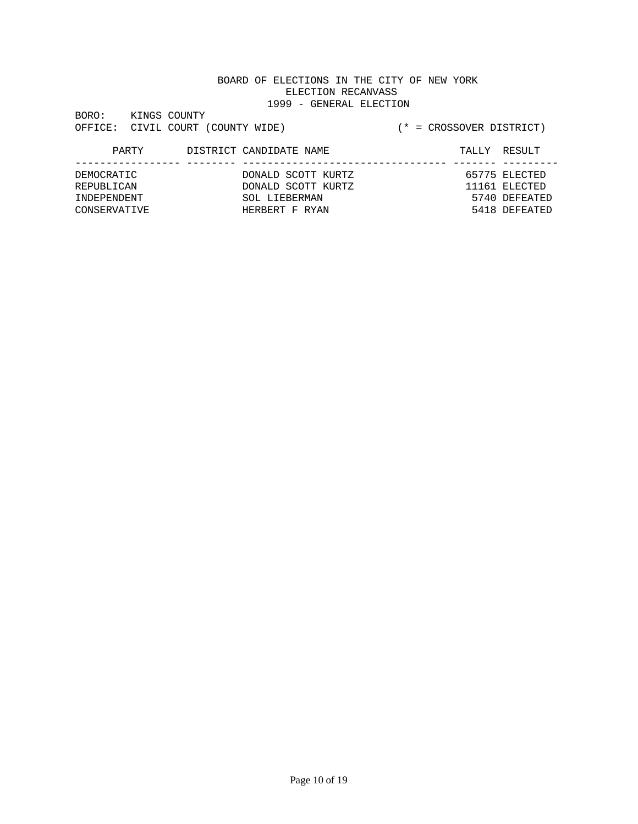| BORO:   | KINGS COUNTY |                           |  |
|---------|--------------|---------------------------|--|
| OFFICE: |              | CIVIL COURT (COUNTY WIDE) |  |

# OE)  $(* = \text{CROSSOVER DISTRICT})$

| PARTY        | DISTRICT CANDIDATE NAME | TALLY RESULT  |
|--------------|-------------------------|---------------|
| DEMOCRATIC   | DONALD SCOTT KURTZ      | 65775 ELECTED |
| REPUBLICAN   | DONALD SCOTT KURTZ      | 11161 ELECTED |
| TNDEPENDENT  | SOL LIEBERMAN           | 5740 DEFEATED |
| CONSERVATIVE | HERBERT F RYAN          | 5418 DEFEATED |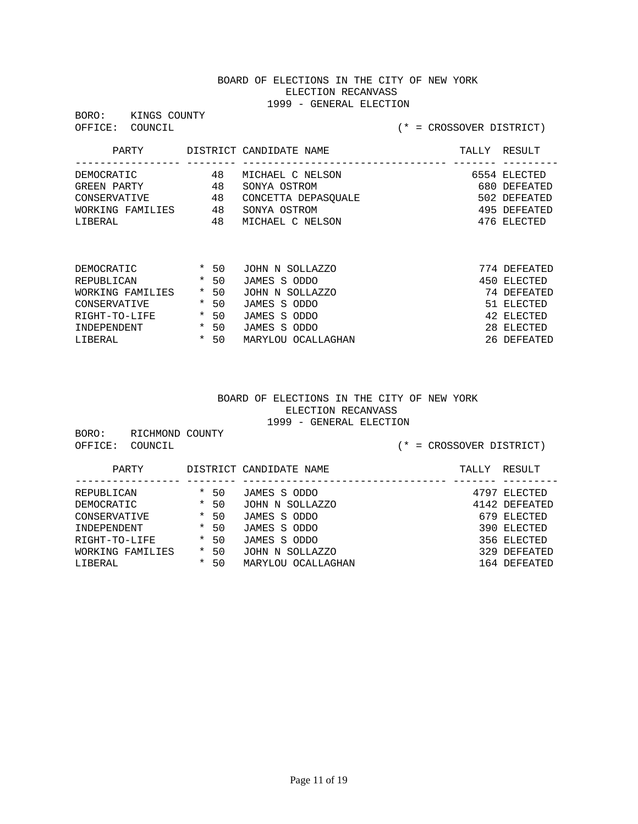BORO: KINGS COUNTY<br>OFFICE: COUNCIL

## (\* = CROSSOVER DISTRICT)

| PARTY            |    | DISTRICT CANDIDATE NAME | TALLY | RESULT       |
|------------------|----|-------------------------|-------|--------------|
| DEMOCRATIC       | 48 | MICHAEL C NELSON        |       | 6554 ELECTED |
| GREEN PARTY      | 48 | SONYA OSTROM            |       | 680 DEFEATED |
| CONSERVATIVE     | 48 | CONCETTA DEPASOUALE     |       | 502 DEFEATED |
| WORKING FAMILIES | 48 | SONYA OSTROM            |       | 495 DEFEATED |
| LIBERAL          | 48 | MICHAEL C NELSON        |       | 476 ELECTED  |

| DEMOCRATIC       | $\star$ | -50    | JOHN N SOLLAZZO    | 774 DEFEATED |
|------------------|---------|--------|--------------------|--------------|
| REPUBLICAN       |         | $*50$  | JAMES S ODDO       | 450 ELECTED  |
| WORKING FAMILIES |         | $*50$  | JOHN N SOLLAZZO    | 74 DEFEATED  |
| CONSERVATIVE     |         | $*50$  | JAMES S ODDO       | 51 ELECTED   |
| RIGHT-TO-LIFE    | $\star$ | - 50   | JAMES S ODDO       | 42 ELECTED   |
| INDEPENDENT      |         | $*$ 50 | JAMES S ODDO       | 28 ELECTED   |
| T.TRERAL         | *       | 50     | MARYLOU OCALLAGHAN | 26 DEFEATED  |

#### BOARD OF ELECTIONS IN THE CITY OF NEW YORK ELECTION RECANVASS 1999 - GENERAL ELECTION

BORO: RICHMOND COUNTY

OFFICE: COUNCIL (\* = CROSSOVER DISTRICT)

| PARTY            |         |       | DISTRICT CANDIDATE NAME | TALLY | RESULT        |
|------------------|---------|-------|-------------------------|-------|---------------|
|                  |         |       |                         |       |               |
| REPUBLICAN       |         | $*50$ | JAMES S ODDO            |       | 4797 ELECTED  |
| DEMOCRATIC       | $\star$ | 50    | JOHN N SOLLAZZO         |       | 4142 DEFEATED |
| CONSERVATIVE     | $\star$ | 50    | JAMES S ODDO            |       | 679 ELECTED   |
| INDEPENDENT      |         | $*50$ | JAMES S ODDO            |       | 390 ELECTED   |
| RIGHT-TO-LIFE    |         | $*50$ | JAMES S ODDO            |       | 356 ELECTED   |
| WORKING FAMILIES | $\star$ | 50    | JOHN N SOLLAZZO         |       | 329 DEFEATED  |
| LIBERAL          | $\star$ | 50    | MARYLOU OCALLAGHAN      |       | 164 DEFEATED  |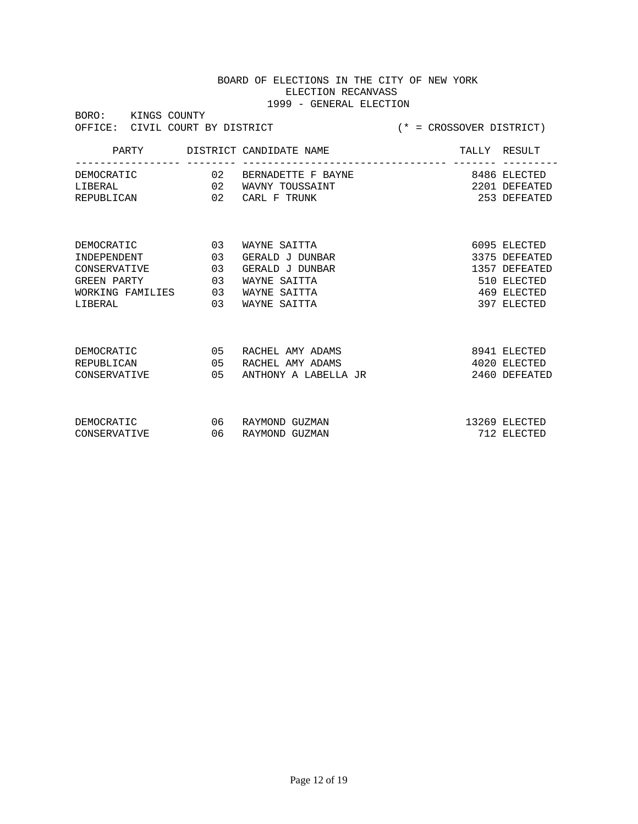| BORO:        | KINGS COUNTY     | OFFICE: CIVIL COURT BY DISTRICT | $(*)$ = CROSSOVER DISTRICT) |  |               |
|--------------|------------------|---------------------------------|-----------------------------|--|---------------|
|              |                  |                                 |                             |  |               |
|              |                  |                                 |                             |  |               |
| DEMOCRATIC   |                  |                                 | 02 BERNADETTE F BAYNE       |  | 8486 ELECTED  |
| LIBERAL      |                  |                                 | 02 WAVNY TOUSSAINT          |  | 2201 DEFEATED |
| REPUBLICAN   |                  | 02                              | CARL F TRUNK                |  | 253 DEFEATED  |
|              |                  |                                 |                             |  |               |
|              |                  |                                 |                             |  |               |
| DEMOCRATIC   |                  | 0 <sub>3</sub>                  | WAYNE SAITTA                |  | 6095 ELECTED  |
| INDEPENDENT  |                  | 03                              | GERALD J DUNBAR             |  | 3375 DEFEATED |
| CONSERVATIVE |                  | 03                              | GERALD J DUNBAR             |  | 1357 DEFEATED |
| GREEN PARTY  |                  | 03                              | WAYNE SAITTA                |  | 510 ELECTED   |
|              | WORKING FAMILIES | 03                              | WAYNE SAITTA                |  | 469 ELECTED   |
| LIBERAL      |                  | 03                              | WAYNE SAITTA                |  | 397 ELECTED   |
|              |                  |                                 |                             |  |               |
|              |                  |                                 |                             |  |               |
| DEMOCRATIC   |                  | 05                              | RACHEL AMY ADAMS            |  | 8941 ELECTED  |
| REPUBLICAN   |                  | 0 <sub>5</sub>                  | RACHEL AMY ADAMS            |  | 4020 ELECTED  |
| CONSERVATIVE |                  | 0 <sub>5</sub>                  | ANTHONY A LABELLA JR        |  | 2460 DEFEATED |
|              |                  |                                 |                             |  |               |
|              |                  |                                 |                             |  |               |
| DEMOCRATIC   |                  | 06                              | RAYMOND GUZMAN              |  | 13269 ELECTED |
| CONSERVATIVE |                  | 06                              | RAYMOND GUZMAN              |  | 712 ELECTED   |
|              |                  |                                 |                             |  |               |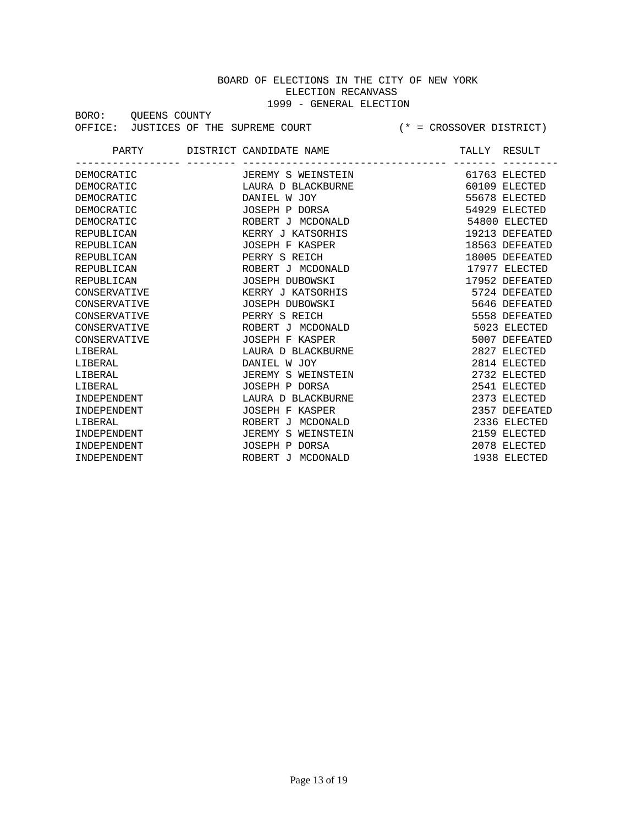BORO: QUEENS COUNTY OFFICE: JUSTICES OF THE SUPREME COURT (\* = CROSSOVER DISTRICT)

PARTY DISTRICT CANDIDATE NAME TALLY RESULT ----------------- -------- --------------------------------- ------- --------- DEMOCRATIC **DEMOCRATIC** JEREMY S WEINSTEIN 61763 ELECTED DEMOCRATIC LAURA D BLACKBURNE 60109 ELECTED DEMOCRATIC DANIEL W JOY 55678 ELECTED DEMOCRATIC JOSEPH P DORSA 54929 ELECTED DEMOCRATIC ROBERT J MCDONALD 54800 ELECTED REPUBLICAN KERRY J KATSORHIS 19213 DEFEATED REPUBLICAN JOSEPH F KASPER 18563 DEFEATED REPUBLICAN PERRY S REICH REPUBLICAN ROBERT J MCDONALD 17977 ELECTED REPUBLICAN JOSEPH DUBOWSKI 17952 DEFEATED CONSERVATIVE KERRY J KATSORHIS 5724 DEFEATED CONSERVATIVE JOSEPH DUBOWSKI 5646 DEFEATED CONSERVATIVE PERRY S REICH 5558 DEFEATED CONSERVATIVE ROBERT J MCDONALD 5023 ELECTED CONSERVATIVE JOSEPH F KASPER 5007 DEFEATED LIBERAL LAURA D BLACKBURNE 2827 ELECTED DANIEL W JOY 2814 ELECTED LIBERAL JEREMY S WEINSTEIN 2732 ELECTED LIBERAL JOSEPH P DORSA 2541 ELECTED INDEPENDENT LAURA D BLACKBURNE 2373 ELECTED INDEPENDENT JOSEPH F KASPER 2357 DEFEATED LIBERAL ROBERT J MCDONALD 2336 ELECTED INDEPENDENT **IEREMY S WEINSTEIN** 2159 ELECTED INDEPENDENT JOSEPH P DORSA 2078 ELECTED INDEPENDENT ROBERT J MCDONALD 1938 ELECTED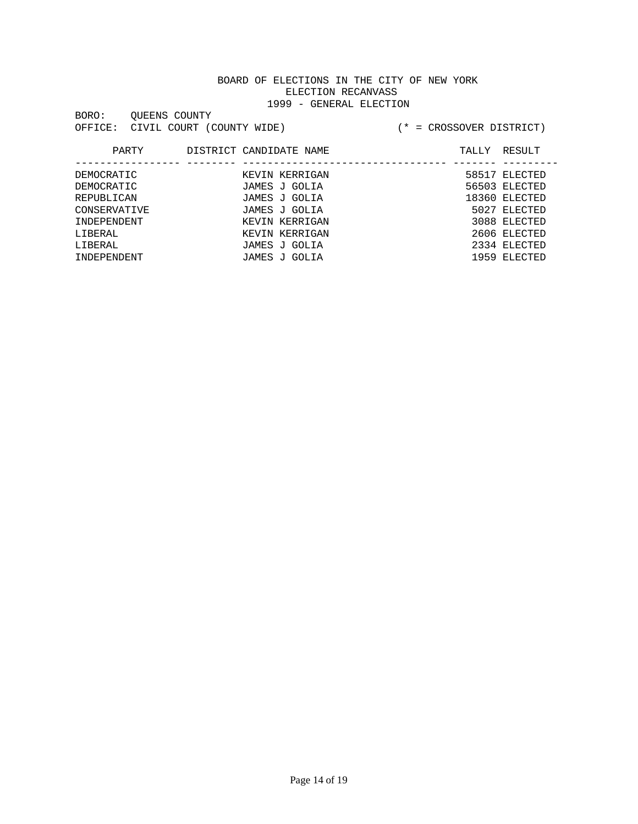| BORO:   | OUEENS COUNTY |                           |  |
|---------|---------------|---------------------------|--|
| OFFICE: |               | CIVIL COURT (COUNTY WIDE) |  |

| PARTY        | DISTRICT CANDIDATE NAME | RESULT<br>TALLY |
|--------------|-------------------------|-----------------|
|              |                         |                 |
| DEMOCRATIC   | KEVIN KERRIGAN          | 58517 ELECTED   |
| DEMOCRATIC   | JAMES J GOLIA           | 56503 ELECTED   |
| REPUBLICAN   | JAMES J GOLIA           | 18360 ELECTED   |
| CONSERVATIVE | JAMES J GOLIA           | 5027 ELECTED    |
| INDEPENDENT  | KEVIN KERRIGAN          | 3088 ELECTED    |
| LIBERAL      | KEVIN KERRIGAN          | 2606 ELECTED    |
| LIBERAL      | JAMES J GOLIA           | 2334 ELECTED    |
| INDEPENDENT  | JAMES J GOLIA           | 1959 ELECTED    |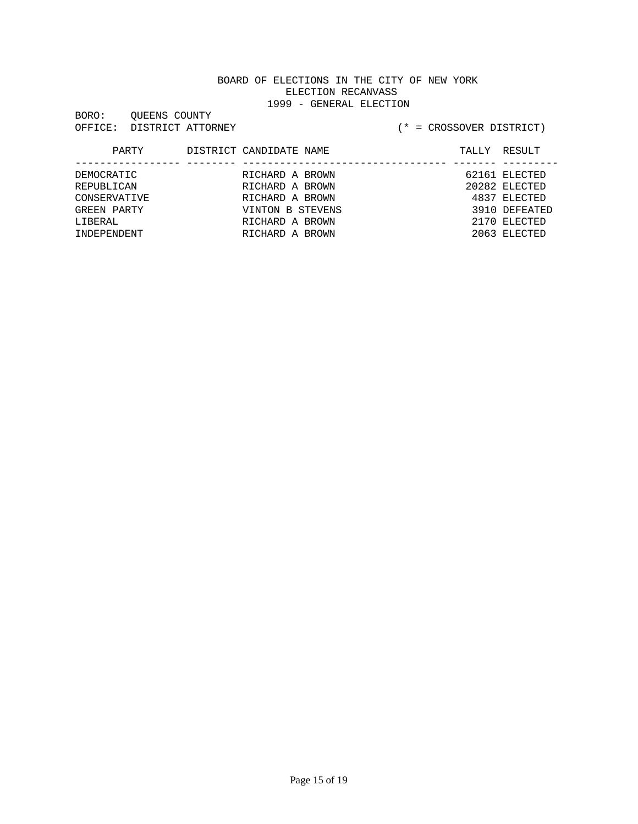| BORO:   | OUEENS COUNTY     |
|---------|-------------------|
| OFFICE: | DISTRICT ATTORNEY |

| PARTY        | DISTRICT CANDIDATE NAME |  | TALLY RESULT  |
|--------------|-------------------------|--|---------------|
|              |                         |  |               |
| DEMOCRATIC   | RICHARD A BROWN         |  | 62161 ELECTED |
| REPUBLICAN   | RICHARD A BROWN         |  | 20282 ELECTED |
| CONSERVATIVE | RICHARD A BROWN         |  | 4837 ELECTED  |
| GREEN PARTY  | VINTON B STEVENS        |  | 3910 DEFEATED |
| LIBERAL      | RICHARD A BROWN         |  | 2170 ELECTED  |
| INDEPENDENT  | RICHARD A BROWN         |  | 2063 ELECTED  |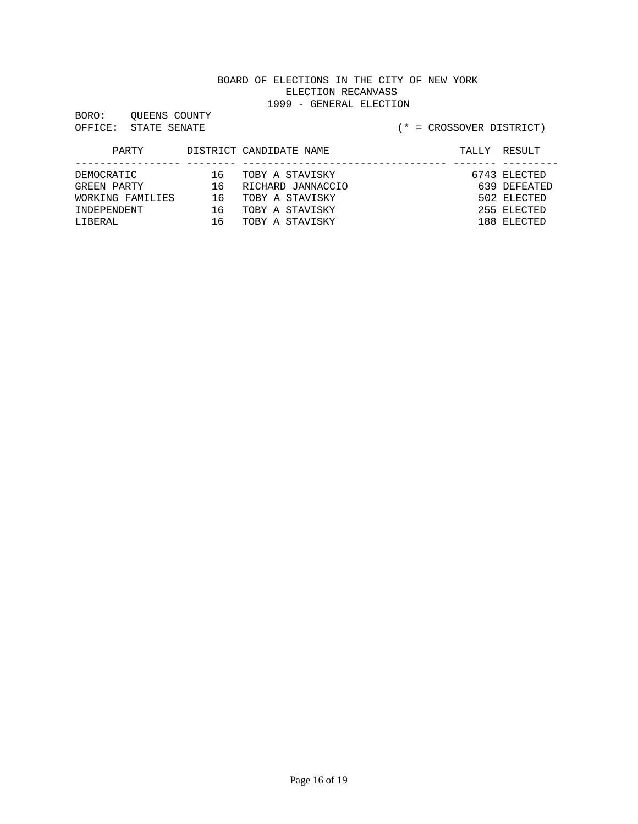BORO: QUEENS COUNTY

#### OFFICE: STATE SENATE (\* = CROSSOVER DISTRICT)

| PARTY            |    | DISTRICT CANDIDATE NAME | TALLY | RESULT       |
|------------------|----|-------------------------|-------|--------------|
|                  |    |                         |       |              |
| DEMOCRATIC       | 16 | TOBY A STAVISKY         |       | 6743 ELECTED |
| GREEN PARTY      | 16 | RICHARD JANNACCIO       |       | 639 DEFEATED |
| WORKING FAMILIES | 16 | TOBY A STAVISKY         |       | 502 ELECTED  |
| TNDEPENDENT      | 16 | TOBY A STAVISKY         |       | 255 ELECTED  |
| LIBERAL          | 16 | TOBY A STAVISKY         |       | 188 ELECTED  |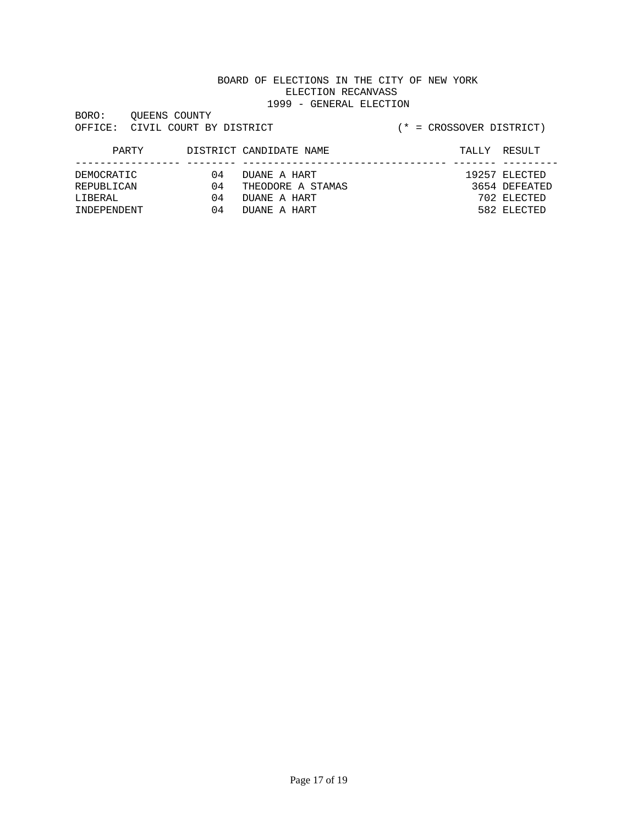| BORO:   | OUEENS COUNTY |                         |
|---------|---------------|-------------------------|
| OFFICE: |               | CIVIL COURT BY DISTRICT |

| PARTY       |    | DISTRICT CANDIDATE NAME | TALLY RESULT  |
|-------------|----|-------------------------|---------------|
|             |    |                         |               |
| DEMOCRATIC  | 04 | DUANE A HART            | 19257 ELECTED |
| REPUBLICAN  | 04 | THEODORE A STAMAS       | 3654 DEFEATED |
| T.TBERAL    | 04 | DUANE A HART            | 702 ELECTED   |
| TNDEPENDENT | 04 | DUANE A HART            | 582 ELECTED   |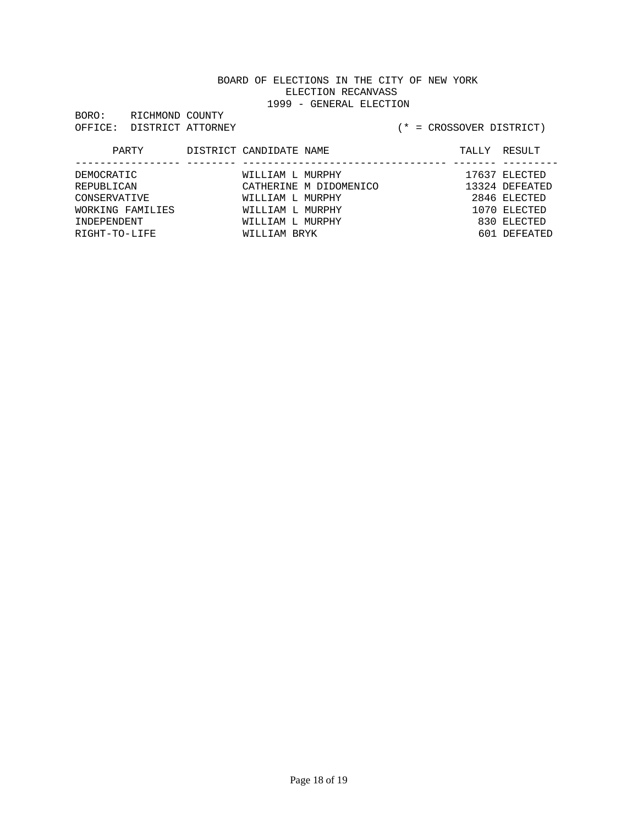BORO: RICHMOND COUNTY OFFICE: DISTRICT ATTORNEY (\* = CROSSOVER DISTRICT)

| PARTY            | DISTRICT CANDIDATE NAME | ---------------        | TALLY RESULT   |
|------------------|-------------------------|------------------------|----------------|
| DEMOCRATIC       | WILLIAM L MURPHY        |                        | 17637 ELECTED  |
| REPUBLICAN       |                         | CATHERINE M DIDOMENICO | 13324 DEFEATED |
| CONSERVATIVE     | WILLIAM L MURPHY        |                        | 2846 ELECTED   |
| WORKING FAMILIES | WILLIAM L MURPHY        |                        | 1070 ELECTED   |
| INDEPENDENT      | WILLIAM L MURPHY        |                        | 830 ELECTED    |
| RIGHT-TO-LIFE    | WILLIAM BRYK            |                        | 601 DEFEATED   |